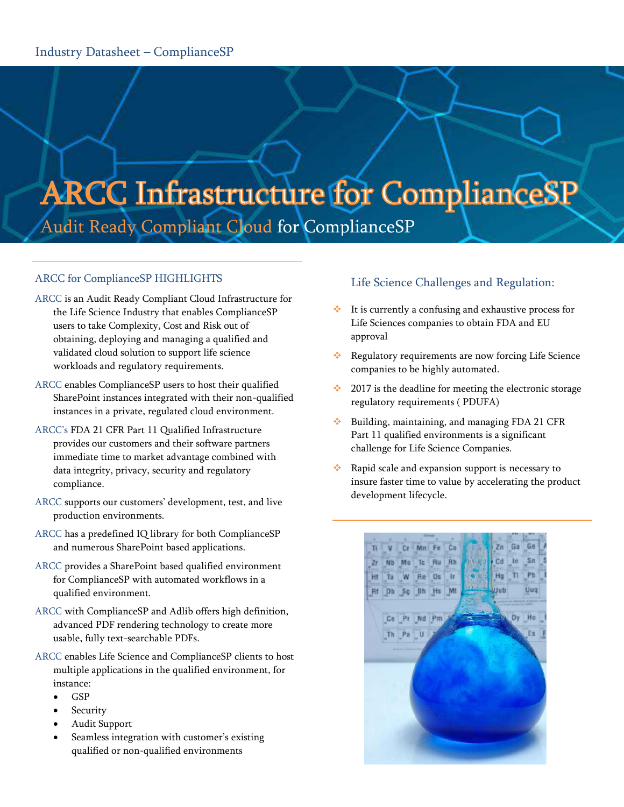# **ARCC Infrastructure for ComplianceSP** Audit Ready Compliant Cloud for ComplianceSP

#### ARCC for ComplianceSP HIGHLIGHTS

- ARCC is an Audit Ready Compliant Cloud Infrastructure for the Life Science Industry that enables ComplianceSP users to take Complexity, Cost and Risk out of obtaining, deploying and managing a qualified and validated cloud solution to support life science workloads and regulatory requirements.
- ARCC enables ComplianceSP users to host their qualified SharePoint instances integrated with their non-qualified instances in a private, regulated cloud environment.
- ARCC's FDA 21 CFR Part 11 Qualified Infrastructure provides our customers and their software partners immediate time to market advantage combined with data integrity, privacy, security and regulatory compliance.
- ARCC supports our customers' development, test, and live production environments.
- ARCC has a predefined IQ library for both ComplianceSP and numerous SharePoint based applications.
- ARCC provides a SharePoint based qualified environment for ComplianceSP with automated workflows in a qualified environment.
- ARCC with ComplianceSP and Adlib offers high definition, advanced PDF rendering technology to create more usable, fully text-searchable PDFs.
- ARCC enables Life Science and ComplianceSP clients to host multiple applications in the qualified environment, for instance:
	- $\bullet$  GSP
	- Security
	- Audit Support
	- Seamless integration with customer's existing qualified or non-qualified environments

## Life Science Challenges and Regulation:

- It is currently a confusing and exhaustive process for Life Sciences companies to obtain FDA and EU approval
- \* Regulatory requirements are now forcing Life Science companies to be highly automated.
- $\div$  2017 is the deadline for meeting the electronic storage regulatory requirements ( PDUFA)
- $\cdot$  Building, maintaining, and managing FDA 21 CFR Part 11 qualified environments is a significant challenge for Life Science Companies.
- Rapid scale and expansion support is necessary to insure faster time to value by accelerating the product development lifecycle.